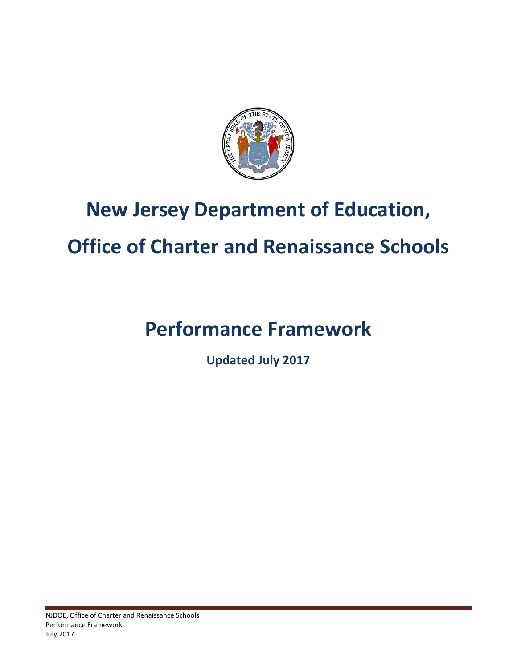

## <span id="page-0-0"></span>**New Jersey Department of Education,**

# <span id="page-0-2"></span><span id="page-0-1"></span>**Office of Charter and Renaissance Schools**

# <span id="page-0-3"></span>**Performance Framework**

**Updated July 2017**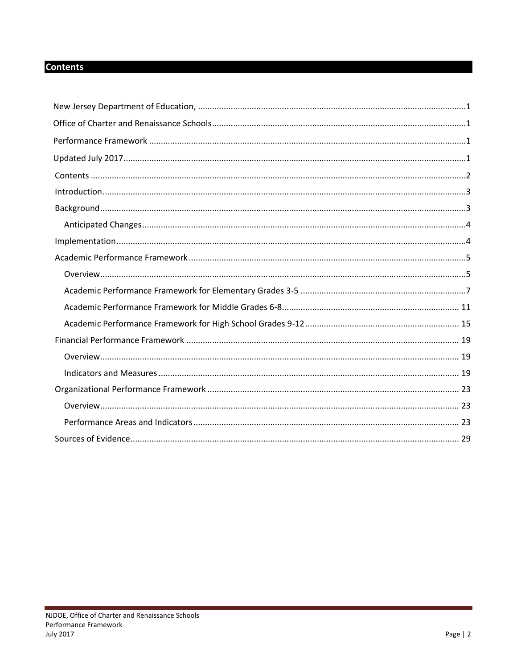## <span id="page-1-0"></span>**Contents**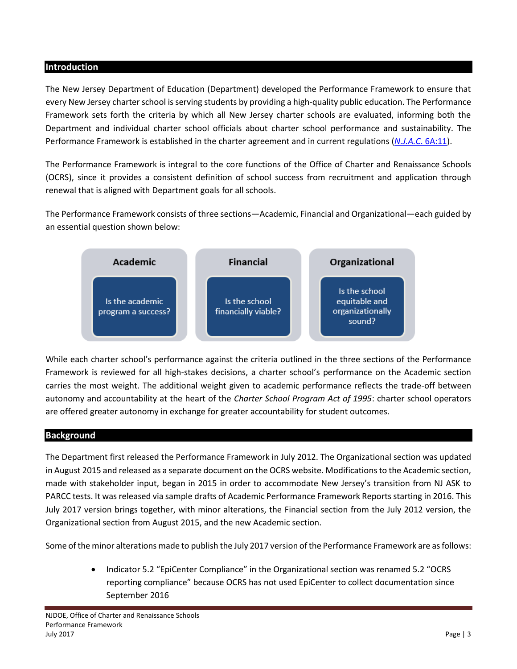#### <span id="page-2-0"></span>**Introduction**

The New Jersey Department of Education (Department) developed the Performance Framework to ensure that every New Jersey charter school is serving students by providing a high-quality public education. The Performance Framework sets forth the criteria by which all New Jersey charter schools are evaluated, informing both the Department and individual charter school officials about charter school performance and sustainability. The Performance Framework is established in the charter agreement and in current regulations (*N.J.A.C*[. 6A:11\)](http://www.state.nj.us/education/code/current/title6a/chap11.pdf).

The Performance Framework is integral to the core functions of the Office of Charter and Renaissance Schools (OCRS), since it provides a consistent definition of school success from recruitment and application through renewal that is aligned with Department goals for all schools.

The Performance Framework consists of three sections—Academic, Financial and Organizational—each guided by an essential question shown below:



While each charter school's performance against the criteria outlined in the three sections of the Performance Framework is reviewed for all high-stakes decisions, a charter school's performance on the Academic section carries the most weight. The additional weight given to academic performance reflects the trade-off between autonomy and accountability at the heart of the *Charter School Program Act of 1995*: charter school operators are offered greater autonomy in exchange for greater accountability for student outcomes.

#### <span id="page-2-1"></span>**Background**

The Department first released the Performance Framework in July 2012. The Organizational section was updated in August 2015 and released as a separate document on the OCRS website. Modificationsto the Academic section, made with stakeholder input, began in 2015 in order to accommodate New Jersey's transition from NJ ASK to PARCC tests. It was released via sample drafts of Academic Performance Framework Reports starting in 2016. This July 2017 version brings together, with minor alterations, the Financial section from the July 2012 version, the Organizational section from August 2015, and the new Academic section.

Some of the minor alterations made to publish the July 2017 version of the Performance Framework are as follows:

• Indicator 5.2 "EpiCenter Compliance" in the Organizational section was renamed 5.2 "OCRS reporting compliance" because OCRS has not used EpiCenter to collect documentation since September 2016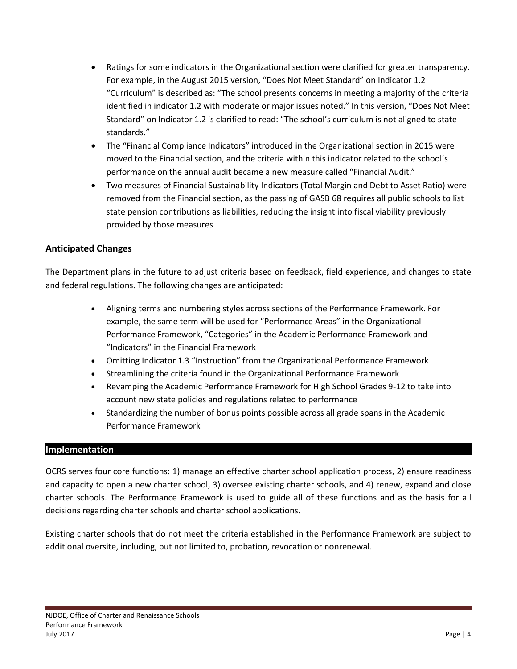- Ratings for some indicators in the Organizational section were clarified for greater transparency. For example, in the August 2015 version, "Does Not Meet Standard" on Indicator 1.2 "Curriculum" is described as: "The school presents concerns in meeting a majority of the criteria identified in indicator 1.2 with moderate or major issues noted." In this version, "Does Not Meet Standard" on Indicator 1.2 is clarified to read: "The school's curriculum is not aligned to state standards."
- The "Financial Compliance Indicators" introduced in the Organizational section in 2015 were moved to the Financial section, and the criteria within this indicator related to the school's performance on the annual audit became a new measure called "Financial Audit."
- Two measures of Financial Sustainability Indicators (Total Margin and Debt to Asset Ratio) were removed from the Financial section, as the passing of GASB 68 requires all public schools to list state pension contributions as liabilities, reducing the insight into fiscal viability previously provided by those measures

## <span id="page-3-0"></span>**Anticipated Changes**

The Department plans in the future to adjust criteria based on feedback, field experience, and changes to state and federal regulations. The following changes are anticipated:

- Aligning terms and numbering styles across sections of the Performance Framework. For example, the same term will be used for "Performance Areas" in the Organizational Performance Framework, "Categories" in the Academic Performance Framework and "Indicators" in the Financial Framework
- Omitting Indicator 1.3 "Instruction" from the Organizational Performance Framework
- Streamlining the criteria found in the Organizational Performance Framework
- Revamping the Academic Performance Framework for High School Grades 9-12 to take into account new state policies and regulations related to performance
- Standardizing the number of bonus points possible across all grade spans in the Academic Performance Framework

#### <span id="page-3-1"></span>**Implementation**

OCRS serves four core functions: 1) manage an effective charter school application process, 2) ensure readiness and capacity to open a new charter school, 3) oversee existing charter schools, and 4) renew, expand and close charter schools. The Performance Framework is used to guide all of these functions and as the basis for all decisions regarding charter schools and charter school applications.

Existing charter schools that do not meet the criteria established in the Performance Framework are subject to additional oversite, including, but not limited to, probation, revocation or nonrenewal.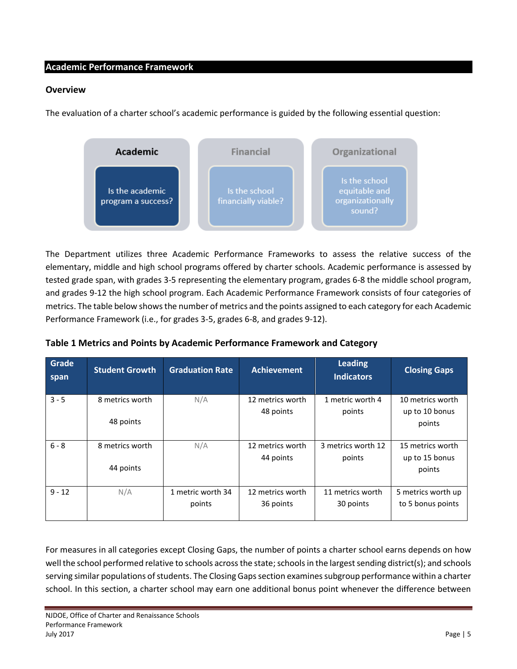### <span id="page-4-0"></span>**Academic Performance Framework**

#### <span id="page-4-1"></span>**Overview**

The evaluation of a charter school's academic performance is guided by the following essential question:



The Department utilizes three Academic Performance Frameworks to assess the relative success of the elementary, middle and high school programs offered by charter schools. Academic performance is assessed by tested grade span, with grades 3-5 representing the elementary program, grades 6-8 the middle school program, and grades 9-12 the high school program. Each Academic Performance Framework consists of four categories of metrics. The table below showsthe number of metrics and the points assigned to each category for each Academic Performance Framework (i.e., for grades 3-5, grades 6-8, and grades 9-12).

| Grade<br>span | <b>Student Growth</b> | <b>Graduation Rate</b> | <b>Achievement</b> | <b>Leading</b><br><b>Indicators</b> | <b>Closing Gaps</b> |
|---------------|-----------------------|------------------------|--------------------|-------------------------------------|---------------------|
| $3 - 5$       | 8 metrics worth       | N/A                    | 12 metrics worth   | 1 metric worth 4                    | 10 metrics worth    |
|               |                       |                        | 48 points          | points                              | up to 10 bonus      |
|               | 48 points             |                        |                    |                                     | points              |
|               |                       |                        |                    |                                     |                     |
| $6 - 8$       | 8 metrics worth       | N/A                    | 12 metrics worth   | 3 metrics worth 12                  | 15 metrics worth    |
|               |                       |                        | 44 points          | points                              | up to 15 bonus      |
|               | 44 points             |                        |                    |                                     | points              |
|               |                       |                        |                    |                                     |                     |
| $9 - 12$      | N/A                   | 1 metric worth 34      | 12 metrics worth   | 11 metrics worth                    | 5 metrics worth up  |
|               |                       | points                 | 36 points          | 30 points                           | to 5 bonus points   |
|               |                       |                        |                    |                                     |                     |

## **Table 1 Metrics and Points by Academic Performance Framework and Category**

For measures in all categories except Closing Gaps, the number of points a charter school earns depends on how well the school performed relative to schools across the state; schools in the largest sending district(s); and schools serving similar populations of students. The Closing Gaps section examines subgroup performance within a charter school. In this section, a charter school may earn one additional bonus point whenever the difference between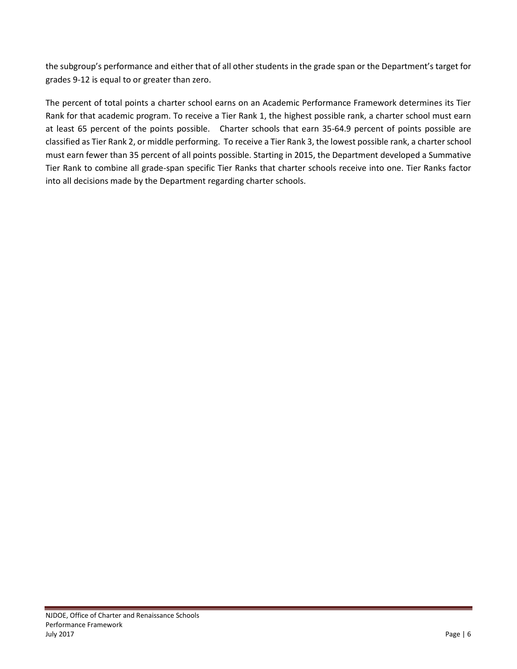the subgroup's performance and either that of all other students in the grade span or the Department's target for grades 9-12 is equal to or greater than zero.

The percent of total points a charter school earns on an Academic Performance Framework determines its Tier Rank for that academic program. To receive a Tier Rank 1, the highest possible rank, a charter school must earn at least 65 percent of the points possible. Charter schools that earn 35-64.9 percent of points possible are classified as Tier Rank 2, or middle performing. To receive a Tier Rank 3, the lowest possible rank, a charter school must earn fewer than 35 percent of all points possible. Starting in 2015, the Department developed a Summative Tier Rank to combine all grade-span specific Tier Ranks that charter schools receive into one. Tier Ranks factor into all decisions made by the Department regarding charter schools.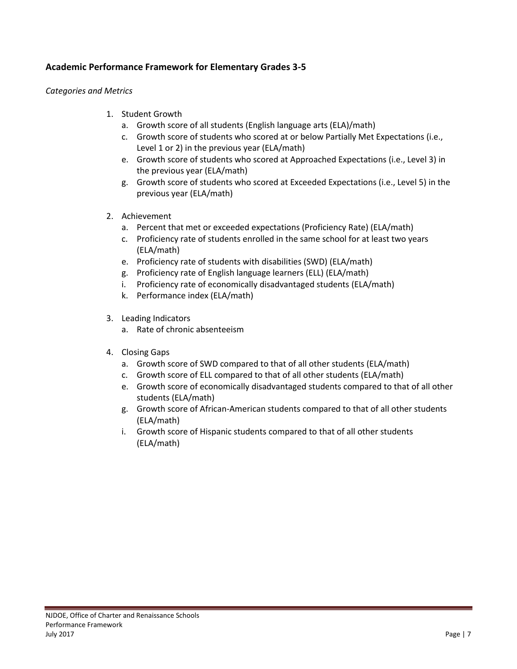## <span id="page-6-0"></span>**Academic Performance Framework for Elementary Grades 3-5**

#### *Categories and Metrics*

- 1. Student Growth
	- a. Growth score of all students (English language arts (ELA)/math)
	- c. Growth score of students who scored at or below Partially Met Expectations (i.e., Level 1 or 2) in the previous year (ELA/math)
	- e. Growth score of students who scored at Approached Expectations (i.e., Level 3) in the previous year (ELA/math)
	- g. Growth score of students who scored at Exceeded Expectations (i.e., Level 5) in the previous year (ELA/math)
- 2. Achievement
	- a. Percent that met or exceeded expectations (Proficiency Rate) (ELA/math)
	- c. Proficiency rate of students enrolled in the same school for at least two years (ELA/math)
	- e. Proficiency rate of students with disabilities (SWD) (ELA/math)
	- g. Proficiency rate of English language learners (ELL) (ELA/math)
	- i. Proficiency rate of economically disadvantaged students (ELA/math)
	- k. Performance index (ELA/math)
- 3. Leading Indicators
	- a. Rate of chronic absenteeism
- 4. Closing Gaps
	- a. Growth score of SWD compared to that of all other students (ELA/math)
	- c. Growth score of ELL compared to that of all other students (ELA/math)
	- e. Growth score of economically disadvantaged students compared to that of all other students (ELA/math)
	- g. Growth score of African-American students compared to that of all other students (ELA/math)
	- i. Growth score of Hispanic students compared to that of all other students (ELA/math)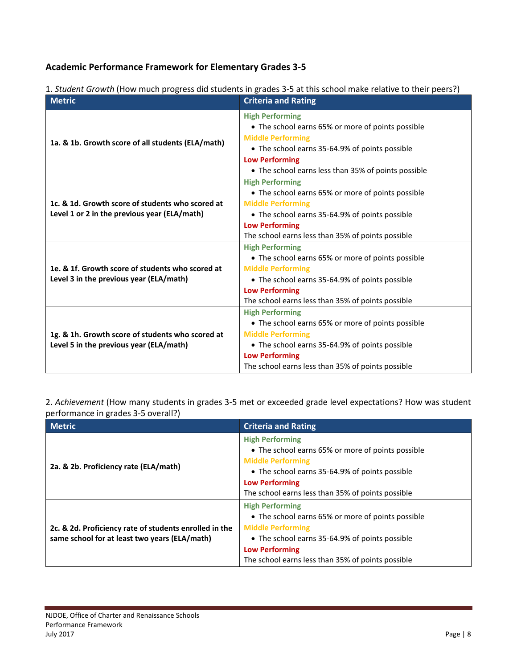## **Academic Performance Framework for Elementary Grades 3-5**

| 1. Student Growth (How much progress did students in grades 3-5 at this school make relative to their peers?) |
|---------------------------------------------------------------------------------------------------------------|
|---------------------------------------------------------------------------------------------------------------|

| <b>Metric</b>                                                                                    | <b>Criteria and Rating</b>                          |
|--------------------------------------------------------------------------------------------------|-----------------------------------------------------|
|                                                                                                  | <b>High Performing</b>                              |
|                                                                                                  | • The school earns 65% or more of points possible   |
| 1a. & 1b. Growth score of all students (ELA/math)                                                | <b>Middle Performing</b>                            |
|                                                                                                  | • The school earns 35-64.9% of points possible      |
|                                                                                                  | <b>Low Performing</b>                               |
|                                                                                                  | • The school earns less than 35% of points possible |
| 1c. & 1d. Growth score of students who scored at<br>Level 1 or 2 in the previous year (ELA/math) | <b>High Performing</b>                              |
|                                                                                                  | • The school earns 65% or more of points possible   |
|                                                                                                  | <b>Middle Performing</b>                            |
|                                                                                                  | • The school earns 35-64.9% of points possible      |
|                                                                                                  | <b>Low Performing</b>                               |
|                                                                                                  | The school earns less than 35% of points possible   |
| 1e. & 1f. Growth score of students who scored at<br>Level 3 in the previous year (ELA/math)      | <b>High Performing</b>                              |
|                                                                                                  | • The school earns 65% or more of points possible   |
|                                                                                                  | <b>Middle Performing</b>                            |
|                                                                                                  | • The school earns 35-64.9% of points possible      |
|                                                                                                  | <b>Low Performing</b>                               |
|                                                                                                  | The school earns less than 35% of points possible   |
|                                                                                                  | <b>High Performing</b>                              |
| 1g. & 1h. Growth score of students who scored at                                                 | • The school earns 65% or more of points possible   |
|                                                                                                  | <b>Middle Performing</b>                            |
| Level 5 in the previous year (ELA/math)                                                          | • The school earns 35-64.9% of points possible      |
|                                                                                                  | <b>Low Performing</b>                               |
|                                                                                                  | The school earns less than 35% of points possible   |

2. *Achievement* (How many students in grades 3-5 met or exceeded grade level expectations? How was student performance in grades 3-5 overall?)

| <b>Metric</b>                                                                                           | <b>Criteria and Rating</b>                                                                                                                                                                                                              |
|---------------------------------------------------------------------------------------------------------|-----------------------------------------------------------------------------------------------------------------------------------------------------------------------------------------------------------------------------------------|
| 2a. & 2b. Proficiency rate (ELA/math)                                                                   | <b>High Performing</b><br>• The school earns 65% or more of points possible<br><b>Middle Performing</b><br>• The school earns 35-64.9% of points possible<br><b>Low Performing</b><br>The school earns less than 35% of points possible |
| 2c. & 2d. Proficiency rate of students enrolled in the<br>same school for at least two years (ELA/math) | <b>High Performing</b><br>• The school earns 65% or more of points possible<br><b>Middle Performing</b><br>• The school earns 35-64.9% of points possible<br><b>Low Performing</b><br>The school earns less than 35% of points possible |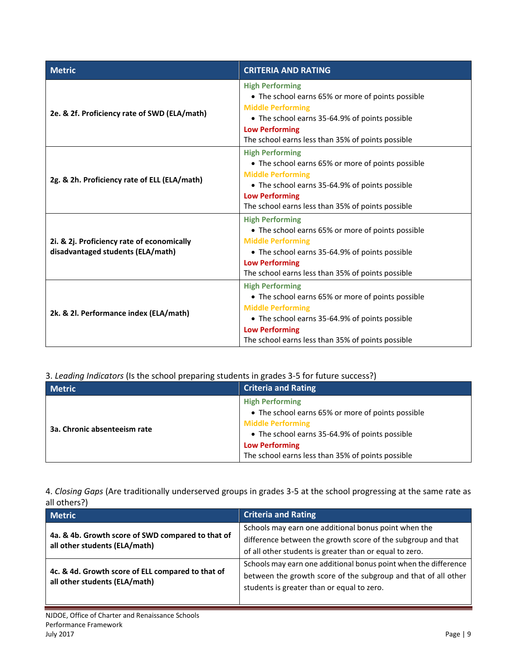| <b>Metric</b>                                                                   | <b>CRITERIA AND RATING</b>                                                                                                                                                                                                              |
|---------------------------------------------------------------------------------|-----------------------------------------------------------------------------------------------------------------------------------------------------------------------------------------------------------------------------------------|
| 2e. & 2f. Proficiency rate of SWD (ELA/math)                                    | <b>High Performing</b><br>• The school earns 65% or more of points possible<br><b>Middle Performing</b><br>• The school earns 35-64.9% of points possible<br><b>Low Performing</b><br>The school earns less than 35% of points possible |
| 2g. & 2h. Proficiency rate of ELL (ELA/math)                                    | <b>High Performing</b><br>• The school earns 65% or more of points possible<br><b>Middle Performing</b><br>• The school earns 35-64.9% of points possible<br><b>Low Performing</b><br>The school earns less than 35% of points possible |
| 2i. & 2j. Proficiency rate of economically<br>disadvantaged students (ELA/math) | <b>High Performing</b><br>• The school earns 65% or more of points possible<br><b>Middle Performing</b><br>• The school earns 35-64.9% of points possible<br><b>Low Performing</b><br>The school earns less than 35% of points possible |
| 2k. & 2l. Performance index (ELA/math)                                          | <b>High Performing</b><br>• The school earns 65% or more of points possible<br><b>Middle Performing</b><br>• The school earns 35-64.9% of points possible<br><b>Low Performing</b><br>The school earns less than 35% of points possible |

3. *Leading Indicators* (Is the school preparing students in grades 3-5 for future success?)

| <b>Metric</b>                | <b>Criteria and Rating</b>                                                                                                                                                                                                              |
|------------------------------|-----------------------------------------------------------------------------------------------------------------------------------------------------------------------------------------------------------------------------------------|
| 3a. Chronic absenteeism rate | <b>High Performing</b><br>• The school earns 65% or more of points possible<br><b>Middle Performing</b><br>• The school earns 35-64.9% of points possible<br><b>Low Performing</b><br>The school earns less than 35% of points possible |

4. *Closing Gaps* (Are traditionally underserved groups in grades 3-5 at the school progressing at the same rate as all others?)

| <b>Metric</b>                                                                      | <b>Criteria and Rating</b>                                                                                                                                                      |
|------------------------------------------------------------------------------------|---------------------------------------------------------------------------------------------------------------------------------------------------------------------------------|
| 4a. & 4b. Growth score of SWD compared to that of<br>all other students (ELA/math) | Schools may earn one additional bonus point when the<br>difference between the growth score of the subgroup and that<br>of all other students is greater than or equal to zero. |
| 4c. & 4d. Growth score of ELL compared to that of<br>all other students (ELA/math) | Schools may earn one additional bonus point when the difference<br>between the growth score of the subgroup and that of all other<br>students is greater than or equal to zero. |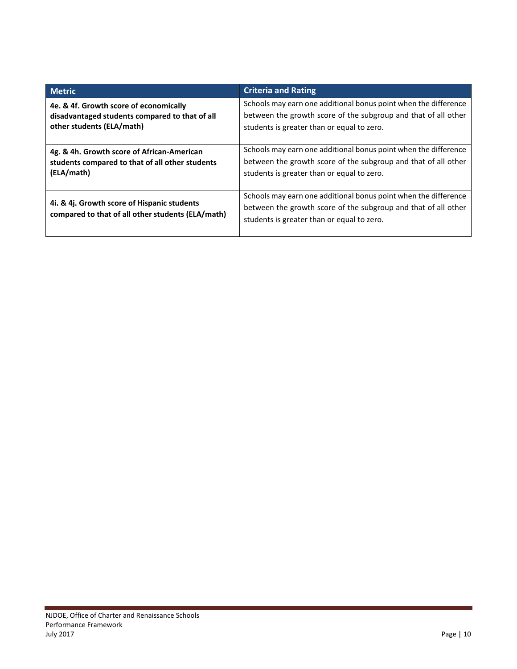<span id="page-9-0"></span>

| <b>Metric</b>                                                                                    | <b>Criteria and Rating</b>                                                                                                                                                      |
|--------------------------------------------------------------------------------------------------|---------------------------------------------------------------------------------------------------------------------------------------------------------------------------------|
| 4e. & 4f. Growth score of economically                                                           | Schools may earn one additional bonus point when the difference                                                                                                                 |
| disadvantaged students compared to that of all                                                   | between the growth score of the subgroup and that of all other                                                                                                                  |
| other students (ELA/math)                                                                        | students is greater than or equal to zero.                                                                                                                                      |
| 4g. & 4h. Growth score of African-American                                                       | Schools may earn one additional bonus point when the difference                                                                                                                 |
| students compared to that of all other students                                                  | between the growth score of the subgroup and that of all other                                                                                                                  |
| (ELA/math)                                                                                       | students is greater than or equal to zero.                                                                                                                                      |
| 4i. & 4j. Growth score of Hispanic students<br>compared to that of all other students (ELA/math) | Schools may earn one additional bonus point when the difference<br>between the growth score of the subgroup and that of all other<br>students is greater than or equal to zero. |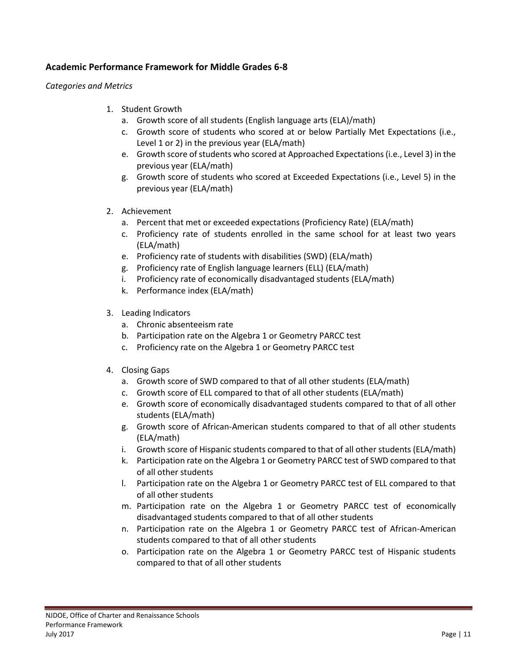## **Academic Performance Framework for Middle Grades 6-8**

*Categories and Metrics*

- 1. Student Growth
	- a. Growth score of all students (English language arts (ELA)/math)
	- c. Growth score of students who scored at or below Partially Met Expectations (i.e., Level 1 or 2) in the previous year (ELA/math)
	- e. Growth score of students who scored at Approached Expectations (i.e., Level 3) in the previous year (ELA/math)
	- g. Growth score of students who scored at Exceeded Expectations (i.e., Level 5) in the previous year (ELA/math)
- 2. Achievement
	- a. Percent that met or exceeded expectations (Proficiency Rate) (ELA/math)
	- c. Proficiency rate of students enrolled in the same school for at least two years (ELA/math)
	- e. Proficiency rate of students with disabilities (SWD) (ELA/math)
	- g. Proficiency rate of English language learners (ELL) (ELA/math)
	- i. Proficiency rate of economically disadvantaged students (ELA/math)
	- k. Performance index (ELA/math)
- 3. Leading Indicators
	- a. Chronic absenteeism rate
	- b. Participation rate on the Algebra 1 or Geometry PARCC test
	- c. Proficiency rate on the Algebra 1 or Geometry PARCC test
- 4. Closing Gaps
	- a. Growth score of SWD compared to that of all other students (ELA/math)
	- c. Growth score of ELL compared to that of all other students (ELA/math)
	- e. Growth score of economically disadvantaged students compared to that of all other students (ELA/math)
	- g. Growth score of African-American students compared to that of all other students (ELA/math)
	- i. Growth score of Hispanic students compared to that of all other students (ELA/math)
	- k. Participation rate on the Algebra 1 or Geometry PARCC test of SWD compared to that of all other students
	- l. Participation rate on the Algebra 1 or Geometry PARCC test of ELL compared to that of all other students
	- m. Participation rate on the Algebra 1 or Geometry PARCC test of economically disadvantaged students compared to that of all other students
	- n. Participation rate on the Algebra 1 or Geometry PARCC test of African-American students compared to that of all other students
	- o. Participation rate on the Algebra 1 or Geometry PARCC test of Hispanic students compared to that of all other students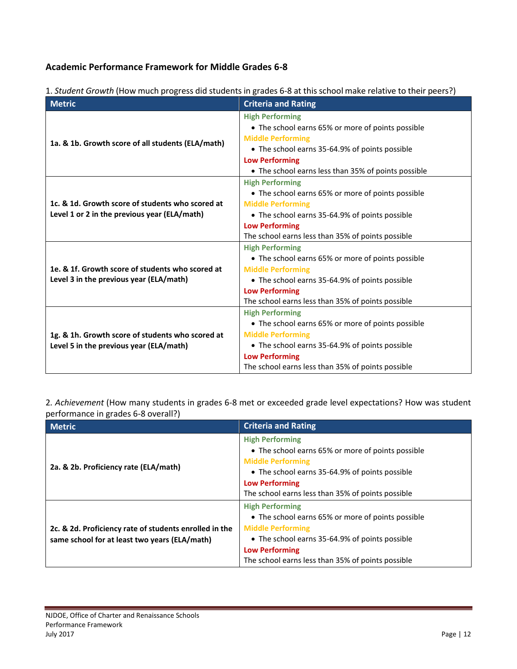## **Academic Performance Framework for Middle Grades 6-8**

| <b>Metric</b>                                                                                    | <b>Criteria and Rating</b>                          |
|--------------------------------------------------------------------------------------------------|-----------------------------------------------------|
|                                                                                                  | <b>High Performing</b>                              |
|                                                                                                  | • The school earns 65% or more of points possible   |
| 1a. & 1b. Growth score of all students (ELA/math)                                                | <b>Middle Performing</b>                            |
|                                                                                                  | • The school earns 35-64.9% of points possible      |
|                                                                                                  | <b>Low Performing</b>                               |
|                                                                                                  | • The school earns less than 35% of points possible |
|                                                                                                  | <b>High Performing</b>                              |
|                                                                                                  | • The school earns 65% or more of points possible   |
| 1c. & 1d. Growth score of students who scored at<br>Level 1 or 2 in the previous year (ELA/math) | <b>Middle Performing</b>                            |
|                                                                                                  | • The school earns 35-64.9% of points possible      |
|                                                                                                  | <b>Low Performing</b>                               |
|                                                                                                  | The school earns less than 35% of points possible   |
|                                                                                                  | <b>High Performing</b>                              |
| 1e. & 1f. Growth score of students who scored at<br>Level 3 in the previous year (ELA/math)      | • The school earns 65% or more of points possible   |
|                                                                                                  | <b>Middle Performing</b>                            |
|                                                                                                  | • The school earns 35-64.9% of points possible      |
|                                                                                                  | <b>Low Performing</b>                               |
|                                                                                                  | The school earns less than 35% of points possible   |
|                                                                                                  | <b>High Performing</b>                              |
|                                                                                                  | • The school earns 65% or more of points possible   |
| 1g. & 1h. Growth score of students who scored at                                                 | <b>Middle Performing</b>                            |
| Level 5 in the previous year (ELA/math)                                                          | • The school earns 35-64.9% of points possible      |
|                                                                                                  | <b>Low Performing</b>                               |
|                                                                                                  | The school earns less than 35% of points possible   |

1. *Student Growth* (How much progress did students in grades 6-8 at this school make relative to their peers?)

2*. Achievement* (How many students in grades 6-8 met or exceeded grade level expectations? How was student performance in grades 6-8 overall?)

| <b>Metric</b>                                                                                           | <b>Criteria and Rating</b>                                                                                                                                                                                                              |
|---------------------------------------------------------------------------------------------------------|-----------------------------------------------------------------------------------------------------------------------------------------------------------------------------------------------------------------------------------------|
| 2a. & 2b. Proficiency rate (ELA/math)                                                                   | <b>High Performing</b><br>• The school earns 65% or more of points possible<br><b>Middle Performing</b><br>• The school earns 35-64.9% of points possible<br><b>Low Performing</b><br>The school earns less than 35% of points possible |
| 2c. & 2d. Proficiency rate of students enrolled in the<br>same school for at least two years (ELA/math) | <b>High Performing</b><br>• The school earns 65% or more of points possible<br><b>Middle Performing</b><br>• The school earns 35-64.9% of points possible<br><b>Low Performing</b><br>The school earns less than 35% of points possible |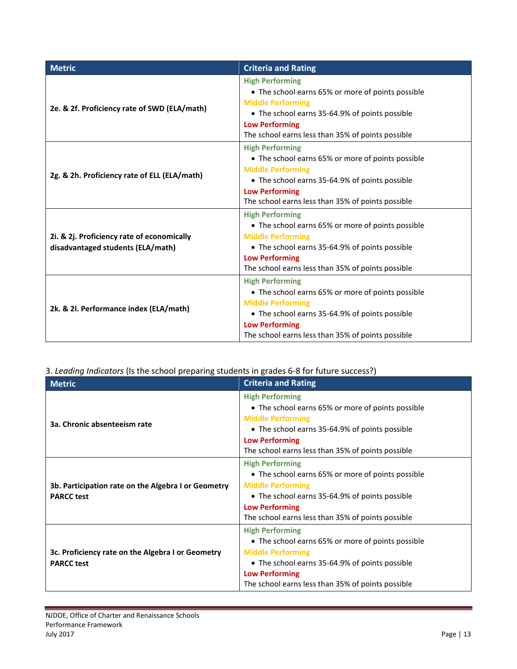| <b>Metric</b>                                                                   | <b>Criteria and Rating</b>                                                                                                                                                                                                              |
|---------------------------------------------------------------------------------|-----------------------------------------------------------------------------------------------------------------------------------------------------------------------------------------------------------------------------------------|
| 2e. & 2f. Proficiency rate of SWD (ELA/math)                                    | <b>High Performing</b><br>• The school earns 65% or more of points possible<br><b>Middle Performing</b><br>• The school earns 35-64.9% of points possible<br><b>Low Performing</b><br>The school earns less than 35% of points possible |
| 2g. & 2h. Proficiency rate of ELL (ELA/math)                                    | <b>High Performing</b><br>• The school earns 65% or more of points possible<br><b>Middle Performing</b><br>• The school earns 35-64.9% of points possible<br><b>Low Performing</b><br>The school earns less than 35% of points possible |
| 2i. & 2j. Proficiency rate of economically<br>disadvantaged students (ELA/math) | <b>High Performing</b><br>• The school earns 65% or more of points possible<br><b>Middle Performing</b><br>• The school earns 35-64.9% of points possible<br><b>Low Performing</b><br>The school earns less than 35% of points possible |
| 2k. & 2l. Performance index (ELA/math)                                          | <b>High Performing</b><br>• The school earns 65% or more of points possible<br><b>Middle Performing</b><br>• The school earns 35-64.9% of points possible<br><b>Low Performing</b><br>The school earns less than 35% of points possible |

3. *Leading Indicators* (Is the school preparing students in grades 6-8 for future success?)

| <b>Metric</b>                                                            | <b>Criteria and Rating</b>                                                                                                                                                                                                              |
|--------------------------------------------------------------------------|-----------------------------------------------------------------------------------------------------------------------------------------------------------------------------------------------------------------------------------------|
| 3a. Chronic absenteeism rate                                             | <b>High Performing</b><br>• The school earns 65% or more of points possible<br><b>Middle Performing</b><br>• The school earns 35-64.9% of points possible<br><b>Low Performing</b>                                                      |
|                                                                          | The school earns less than 35% of points possible                                                                                                                                                                                       |
| 3b. Participation rate on the Algebra I or Geometry<br><b>PARCC test</b> | <b>High Performing</b><br>• The school earns 65% or more of points possible<br><b>Middle Performing</b><br>• The school earns 35-64.9% of points possible<br><b>Low Performing</b><br>The school earns less than 35% of points possible |
| 3c. Proficiency rate on the Algebra I or Geometry<br><b>PARCC test</b>   | <b>High Performing</b><br>• The school earns 65% or more of points possible<br><b>Middle Performing</b><br>• The school earns 35-64.9% of points possible<br><b>Low Performing</b><br>The school earns less than 35% of points possible |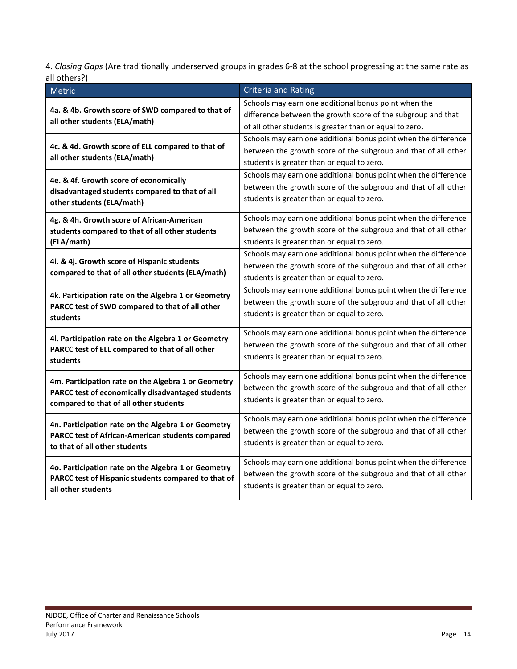4. *Closing Gaps* (Are traditionally underserved groups in grades 6-8 at the school progressing at the same rate as all others?)

| Metric                                                                                                   | <b>Criteria and Rating</b>                                                                                   |
|----------------------------------------------------------------------------------------------------------|--------------------------------------------------------------------------------------------------------------|
| 4a. & 4b. Growth score of SWD compared to that of<br>all other students (ELA/math)                       | Schools may earn one additional bonus point when the                                                         |
|                                                                                                          | difference between the growth score of the subgroup and that                                                 |
|                                                                                                          | of all other students is greater than or equal to zero.                                                      |
|                                                                                                          | Schools may earn one additional bonus point when the difference                                              |
| 4c. & 4d. Growth score of ELL compared to that of                                                        | between the growth score of the subgroup and that of all other                                               |
| all other students (ELA/math)                                                                            | students is greater than or equal to zero.                                                                   |
| 4e. & 4f. Growth score of economically                                                                   | Schools may earn one additional bonus point when the difference                                              |
| disadvantaged students compared to that of all                                                           | between the growth score of the subgroup and that of all other                                               |
| other students (ELA/math)                                                                                | students is greater than or equal to zero.                                                                   |
| 4g. & 4h. Growth score of African-American                                                               | Schools may earn one additional bonus point when the difference                                              |
| students compared to that of all other students                                                          | between the growth score of the subgroup and that of all other                                               |
| (ELA/math)                                                                                               | students is greater than or equal to zero.                                                                   |
|                                                                                                          | Schools may earn one additional bonus point when the difference                                              |
| 4i. & 4j. Growth score of Hispanic students                                                              | between the growth score of the subgroup and that of all other                                               |
| compared to that of all other students (ELA/math)                                                        | students is greater than or equal to zero.                                                                   |
| 4k. Participation rate on the Algebra 1 or Geometry                                                      | Schools may earn one additional bonus point when the difference                                              |
| PARCC test of SWD compared to that of all other                                                          | between the growth score of the subgroup and that of all other                                               |
| students                                                                                                 | students is greater than or equal to zero.                                                                   |
| 4l. Participation rate on the Algebra 1 or Geometry                                                      | Schools may earn one additional bonus point when the difference                                              |
| PARCC test of ELL compared to that of all other                                                          | between the growth score of the subgroup and that of all other                                               |
| students                                                                                                 | students is greater than or equal to zero.                                                                   |
|                                                                                                          | Schools may earn one additional bonus point when the difference                                              |
| 4m. Participation rate on the Algebra 1 or Geometry<br>PARCC test of economically disadvantaged students | between the growth score of the subgroup and that of all other                                               |
| compared to that of all other students                                                                   | students is greater than or equal to zero.                                                                   |
|                                                                                                          | Schools may earn one additional bonus point when the difference                                              |
| 4n. Participation rate on the Algebra 1 or Geometry                                                      | between the growth score of the subgroup and that of all other                                               |
| <b>PARCC test of African-American students compared</b><br>to that of all other students                 | students is greater than or equal to zero.                                                                   |
|                                                                                                          |                                                                                                              |
| 4o. Participation rate on the Algebra 1 or Geometry                                                      | Schools may earn one additional bonus point when the difference                                              |
| PARCC test of Hispanic students compared to that of                                                      | between the growth score of the subgroup and that of all other<br>students is greater than or equal to zero. |
| all other students                                                                                       |                                                                                                              |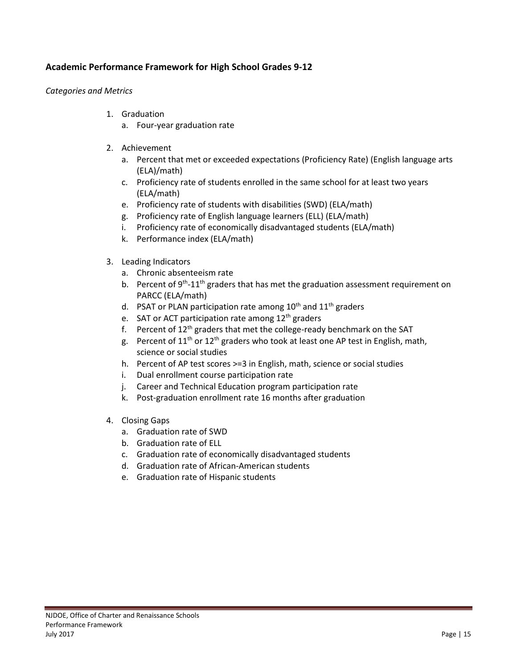## <span id="page-14-0"></span>**Academic Performance Framework for High School Grades 9-12**

#### *Categories and Metrics*

- 1. Graduation
	- a. Four-year graduation rate
- 2. Achievement
	- a. Percent that met or exceeded expectations (Proficiency Rate) (English language arts (ELA)/math)
	- c. Proficiency rate of students enrolled in the same school for at least two years (ELA/math)
	- e. Proficiency rate of students with disabilities (SWD) (ELA/math)
	- g. Proficiency rate of English language learners (ELL) (ELA/math)
	- i. Proficiency rate of economically disadvantaged students (ELA/math)
	- k. Performance index (ELA/math)
- 3. Leading Indicators
	- a. Chronic absenteeism rate
	- b. Percent of 9<sup>th</sup>-11<sup>th</sup> graders that has met the graduation assessment requirement on PARCC (ELA/math)
	- d. PSAT or PLAN participation rate among  $10^{th}$  and  $11^{th}$  graders
	- e. SAT or ACT participation rate among  $12<sup>th</sup>$  graders
	- f. Percent of  $12<sup>th</sup>$  graders that met the college-ready benchmark on the SAT
	- g. Percent of  $11<sup>th</sup>$  or  $12<sup>th</sup>$  graders who took at least one AP test in English, math, science or social studies
	- h. Percent of AP test scores >=3 in English, math, science or social studies
	- i. Dual enrollment course participation rate
	- j. Career and Technical Education program participation rate
	- k. Post-graduation enrollment rate 16 months after graduation
- 4. Closing Gaps
	- a. Graduation rate of SWD
	- b. Graduation rate of ELL
	- c. Graduation rate of economically disadvantaged students
	- d. Graduation rate of African-American students
	- e. Graduation rate of Hispanic students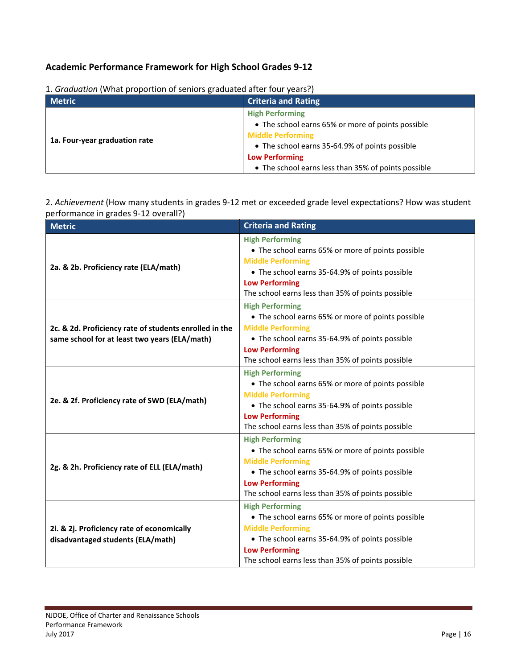## **Academic Performance Framework for High School Grades 9-12**

| 1. Cradadion (What proportion or schools gradadica artch roar years.)<br><b>Metric</b> | <b>Criteria and Rating</b>                          |
|----------------------------------------------------------------------------------------|-----------------------------------------------------|
| 1a. Four-year graduation rate                                                          | <b>High Performing</b>                              |
|                                                                                        | • The school earns 65% or more of points possible   |
|                                                                                        | <b>Middle Performing</b>                            |
|                                                                                        | • The school earns 35-64.9% of points possible      |
|                                                                                        | <b>Low Performing</b>                               |
|                                                                                        | • The school earns less than 35% of points possible |

1. *Graduation* (What proportion of seniors graduated after four years?)

2. *Achievement* (How many students in grades 9-12 met or exceeded grade level expectations? How was student performance in grades 9-12 overall?)

| <b>Metric</b>                                                                                           | <b>Criteria and Rating</b>                                                                                                                                                                                                              |
|---------------------------------------------------------------------------------------------------------|-----------------------------------------------------------------------------------------------------------------------------------------------------------------------------------------------------------------------------------------|
| 2a. & 2b. Proficiency rate (ELA/math)                                                                   | <b>High Performing</b><br>• The school earns 65% or more of points possible<br><b>Middle Performing</b><br>• The school earns 35-64.9% of points possible<br><b>Low Performing</b><br>The school earns less than 35% of points possible |
| 2c. & 2d. Proficiency rate of students enrolled in the<br>same school for at least two years (ELA/math) | <b>High Performing</b><br>• The school earns 65% or more of points possible<br><b>Middle Performing</b><br>• The school earns 35-64.9% of points possible<br><b>Low Performing</b><br>The school earns less than 35% of points possible |
| 2e. & 2f. Proficiency rate of SWD (ELA/math)                                                            | <b>High Performing</b><br>• The school earns 65% or more of points possible<br><b>Middle Performing</b><br>• The school earns 35-64.9% of points possible<br><b>Low Performing</b><br>The school earns less than 35% of points possible |
| 2g. & 2h. Proficiency rate of ELL (ELA/math)                                                            | <b>High Performing</b><br>• The school earns 65% or more of points possible<br><b>Middle Performing</b><br>• The school earns 35-64.9% of points possible<br><b>Low Performing</b><br>The school earns less than 35% of points possible |
| 2i. & 2j. Proficiency rate of economically<br>disadvantaged students (ELA/math)                         | <b>High Performing</b><br>• The school earns 65% or more of points possible<br><b>Middle Performing</b><br>• The school earns 35-64.9% of points possible<br><b>Low Performing</b><br>The school earns less than 35% of points possible |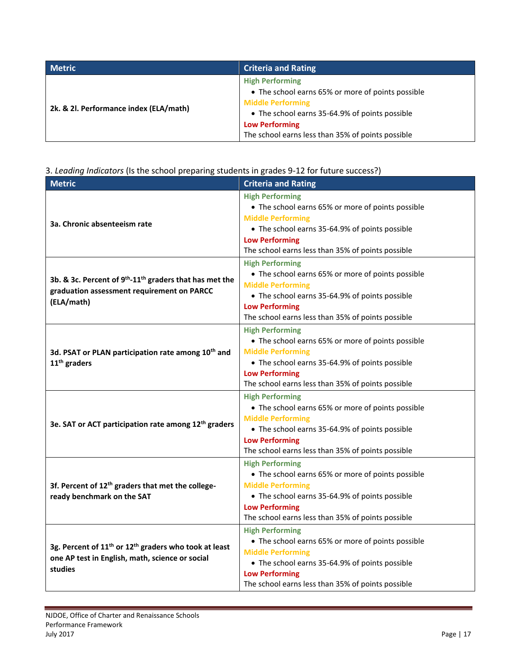| <b>Metric</b>                          | <b>Criteria and Rating</b>                                                                                                                                                                                                              |
|----------------------------------------|-----------------------------------------------------------------------------------------------------------------------------------------------------------------------------------------------------------------------------------------|
| 2k. & 2l. Performance index (ELA/math) | <b>High Performing</b><br>• The school earns 65% or more of points possible<br><b>Middle Performing</b><br>• The school earns 35-64.9% of points possible<br><b>Low Performing</b><br>The school earns less than 35% of points possible |

## 3. *Leading Indicators* (Is the school preparing students in grades 9-12 for future success?)

| <b>Metric</b>                                                                                                                               | <b>Criteria and Rating</b>                                                                                                                                                                                                              |
|---------------------------------------------------------------------------------------------------------------------------------------------|-----------------------------------------------------------------------------------------------------------------------------------------------------------------------------------------------------------------------------------------|
| 3a. Chronic absenteeism rate                                                                                                                | <b>High Performing</b><br>• The school earns 65% or more of points possible<br><b>Middle Performing</b><br>• The school earns 35-64.9% of points possible<br><b>Low Performing</b><br>The school earns less than 35% of points possible |
| 3b. & 3c. Percent of 9 <sup>th</sup> -11 <sup>th</sup> graders that has met the<br>graduation assessment requirement on PARCC<br>(ELA/math) | <b>High Performing</b><br>• The school earns 65% or more of points possible<br><b>Middle Performing</b><br>• The school earns 35-64.9% of points possible<br><b>Low Performing</b><br>The school earns less than 35% of points possible |
| 3d. PSAT or PLAN participation rate among 10 <sup>th</sup> and<br>11 <sup>th</sup> graders                                                  | <b>High Performing</b><br>• The school earns 65% or more of points possible<br><b>Middle Performing</b><br>• The school earns 35-64.9% of points possible<br><b>Low Performing</b><br>The school earns less than 35% of points possible |
| 3e. SAT or ACT participation rate among 12 <sup>th</sup> graders                                                                            | <b>High Performing</b><br>• The school earns 65% or more of points possible<br><b>Middle Performing</b><br>• The school earns 35-64.9% of points possible<br><b>Low Performing</b><br>The school earns less than 35% of points possible |
| 3f. Percent of 12 <sup>th</sup> graders that met the college-<br>ready benchmark on the SAT                                                 | <b>High Performing</b><br>• The school earns 65% or more of points possible<br><b>Middle Performing</b><br>• The school earns 35-64.9% of points possible<br><b>Low Performing</b><br>The school earns less than 35% of points possible |
| 3g. Percent of 11 <sup>th</sup> or 12 <sup>th</sup> graders who took at least<br>one AP test in English, math, science or social<br>studies | <b>High Performing</b><br>• The school earns 65% or more of points possible<br><b>Middle Performing</b><br>• The school earns 35-64.9% of points possible<br><b>Low Performing</b><br>The school earns less than 35% of points possible |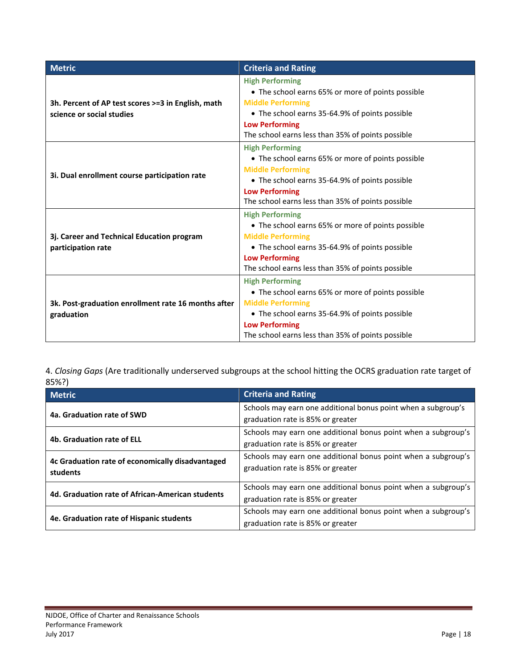| <b>Metric</b>                                                                   | <b>Criteria and Rating</b>                                                                                                                                                                                                              |
|---------------------------------------------------------------------------------|-----------------------------------------------------------------------------------------------------------------------------------------------------------------------------------------------------------------------------------------|
| 3h. Percent of AP test scores >=3 in English, math<br>science or social studies | <b>High Performing</b><br>• The school earns 65% or more of points possible<br><b>Middle Performing</b><br>• The school earns 35-64.9% of points possible<br><b>Low Performing</b><br>The school earns less than 35% of points possible |
| 3i. Dual enrollment course participation rate                                   | <b>High Performing</b><br>• The school earns 65% or more of points possible<br><b>Middle Performing</b><br>• The school earns 35-64.9% of points possible<br><b>Low Performing</b><br>The school earns less than 35% of points possible |
| 3j. Career and Technical Education program<br>participation rate                | <b>High Performing</b><br>• The school earns 65% or more of points possible<br><b>Middle Performing</b><br>• The school earns 35-64.9% of points possible<br><b>Low Performing</b><br>The school earns less than 35% of points possible |
| 3k. Post-graduation enrollment rate 16 months after<br>graduation               | <b>High Performing</b><br>• The school earns 65% or more of points possible<br><b>Middle Performing</b><br>• The school earns 35-64.9% of points possible<br><b>Low Performing</b><br>The school earns less than 35% of points possible |

4. *Closing Gaps* (Are traditionally underserved subgroups at the school hitting the OCRS graduation rate target of 85%?)

| <b>Metric</b>                                                | <b>Criteria and Rating</b>                                    |
|--------------------------------------------------------------|---------------------------------------------------------------|
| 4a. Graduation rate of SWD                                   | Schools may earn one additional bonus point when a subgroup's |
|                                                              | graduation rate is 85% or greater                             |
|                                                              | Schools may earn one additional bonus point when a subgroup's |
| 4b. Graduation rate of ELL                                   | graduation rate is 85% or greater                             |
| 4c Graduation rate of economically disadvantaged<br>students | Schools may earn one additional bonus point when a subgroup's |
|                                                              | graduation rate is 85% or greater                             |
| 4d. Graduation rate of African-American students             | Schools may earn one additional bonus point when a subgroup's |
|                                                              | graduation rate is 85% or greater                             |
| 4e. Graduation rate of Hispanic students                     | Schools may earn one additional bonus point when a subgroup's |
|                                                              | graduation rate is 85% or greater                             |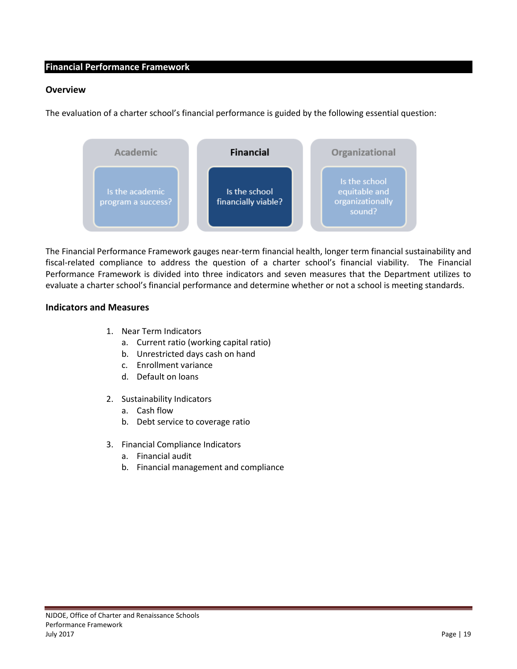#### <span id="page-18-0"></span>**Financial Performance Framework**

#### <span id="page-18-1"></span>**Overview**

The evaluation of a charter school's financial performance is guided by the following essential question:



The Financial Performance Framework gauges near-term financial health, longer term financial sustainability and fiscal-related compliance to address the question of a charter school's financial viability. The Financial Performance Framework is divided into three indicators and seven measures that the Department utilizes to evaluate a charter school's financial performance and determine whether or not a school is meeting standards.

#### <span id="page-18-2"></span>**Indicators and Measures**

- 1. Near Term Indicators
	- a. Current ratio (working capital ratio)
	- b. Unrestricted days cash on hand
	- c. Enrollment variance
	- d. Default on loans
- 2. Sustainability Indicators
	- a. Cash flow
	- b. Debt service to coverage ratio
- 3. Financial Compliance Indicators
	- a. Financial audit
	- b. Financial management and compliance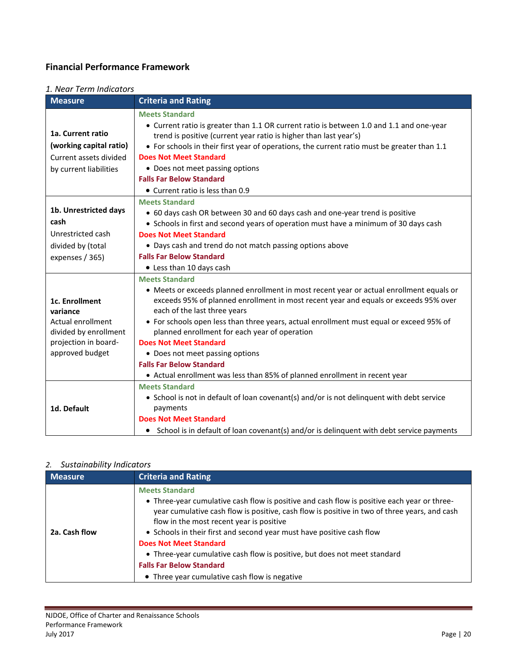## **Financial Performance Framework**

### *1. Near Term Indicators*

| <b>Measure</b>          | <b>Criteria and Rating</b>                                                                  |
|-------------------------|---------------------------------------------------------------------------------------------|
|                         | <b>Meets Standard</b>                                                                       |
|                         | • Current ratio is greater than 1.1 OR current ratio is between 1.0 and 1.1 and one-year    |
| 1a. Current ratio       | trend is positive (current year ratio is higher than last year's)                           |
| (working capital ratio) | • For schools in their first year of operations, the current ratio must be greater than 1.1 |
| Current assets divided  | <b>Does Not Meet Standard</b>                                                               |
| by current liabilities  | • Does not meet passing options                                                             |
|                         | <b>Falls Far Below Standard</b>                                                             |
|                         | • Current ratio is less than 0.9                                                            |
|                         | <b>Meets Standard</b>                                                                       |
| 1b. Unrestricted days   | • 60 days cash OR between 30 and 60 days cash and one-year trend is positive                |
| cash                    | • Schools in first and second years of operation must have a minimum of 30 days cash        |
| Unrestricted cash       | <b>Does Not Meet Standard</b>                                                               |
| divided by (total       | • Days cash and trend do not match passing options above                                    |
| expenses / 365)         | <b>Falls Far Below Standard</b>                                                             |
|                         | • Less than 10 days cash                                                                    |
|                         | <b>Meets Standard</b>                                                                       |
|                         | • Meets or exceeds planned enrollment in most recent year or actual enrollment equals or    |
| 1c. Enrollment          | exceeds 95% of planned enrollment in most recent year and equals or exceeds 95% over        |
| variance                | each of the last three years                                                                |
| Actual enrollment       | • For schools open less than three years, actual enrollment must equal or exceed 95% of     |
| divided by enrollment   | planned enrollment for each year of operation                                               |
| projection in board-    | <b>Does Not Meet Standard</b>                                                               |
| approved budget         | • Does not meet passing options                                                             |
|                         | <b>Falls Far Below Standard</b>                                                             |
|                         | • Actual enrollment was less than 85% of planned enrollment in recent year                  |
|                         | <b>Meets Standard</b>                                                                       |
|                         | • School is not in default of loan covenant(s) and/or is not delinquent with debt service   |
| 1d. Default             | payments                                                                                    |
|                         | <b>Does Not Meet Standard</b>                                                               |
|                         | • School is in default of loan covenant(s) and/or is delinguent with debt service payments  |

#### *2. Sustainability Indicators*

| <b>Measure</b> | <b>Criteria and Rating</b>                                                                                                                                                                                                                                                                                                                                                                                                                                                                                                                  |
|----------------|---------------------------------------------------------------------------------------------------------------------------------------------------------------------------------------------------------------------------------------------------------------------------------------------------------------------------------------------------------------------------------------------------------------------------------------------------------------------------------------------------------------------------------------------|
| 2a. Cash flow  | <b>Meets Standard</b><br>• Three-year cumulative cash flow is positive and cash flow is positive each year or three-<br>year cumulative cash flow is positive, cash flow is positive in two of three years, and cash<br>flow in the most recent year is positive<br>• Schools in their first and second year must have positive cash flow<br><b>Does Not Meet Standard</b><br>• Three-year cumulative cash flow is positive, but does not meet standard<br><b>Falls Far Below Standard</b><br>• Three year cumulative cash flow is negative |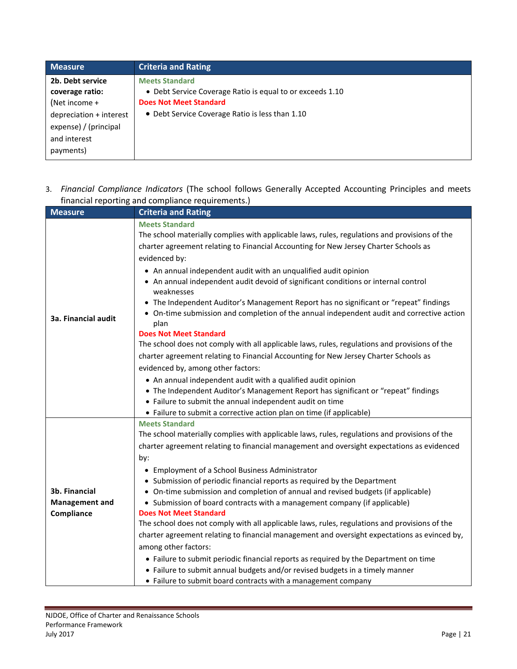| <b>Measure</b>          | <b>Criteria and Rating</b>                                |
|-------------------------|-----------------------------------------------------------|
| 2b. Debt service        | <b>Meets Standard</b>                                     |
| coverage ratio:         | • Debt Service Coverage Ratio is equal to or exceeds 1.10 |
| (Net income $+$         | <b>Does Not Meet Standard</b>                             |
| depreciation + interest | • Debt Service Coverage Ratio is less than 1.10           |
| expense) / (principal   |                                                           |
| and interest            |                                                           |
| payments)               |                                                           |

## 3. *Financial Compliance Indicators* (The school follows Generally Accepted Accounting Principles and meets financial reporting and compliance requirements.)

| <b>Measure</b>        | <b>Criteria and Rating</b>                                                                                                                                           |
|-----------------------|----------------------------------------------------------------------------------------------------------------------------------------------------------------------|
|                       | <b>Meets Standard</b>                                                                                                                                                |
|                       | The school materially complies with applicable laws, rules, regulations and provisions of the                                                                        |
|                       | charter agreement relating to Financial Accounting for New Jersey Charter Schools as                                                                                 |
|                       | evidenced by:                                                                                                                                                        |
|                       | • An annual independent audit with an unqualified audit opinion                                                                                                      |
|                       | • An annual independent audit devoid of significant conditions or internal control<br>weaknesses                                                                     |
|                       | The Independent Auditor's Management Report has no significant or "repeat" findings                                                                                  |
| 3a. Financial audit   | • On-time submission and completion of the annual independent audit and corrective action<br>plan                                                                    |
|                       | <b>Does Not Meet Standard</b>                                                                                                                                        |
|                       | The school does not comply with all applicable laws, rules, regulations and provisions of the                                                                        |
|                       | charter agreement relating to Financial Accounting for New Jersey Charter Schools as                                                                                 |
|                       | evidenced by, among other factors:                                                                                                                                   |
|                       | • An annual independent audit with a qualified audit opinion                                                                                                         |
|                       | • The Independent Auditor's Management Report has significant or "repeat" findings                                                                                   |
|                       | • Failure to submit the annual independent audit on time                                                                                                             |
|                       | • Failure to submit a corrective action plan on time (if applicable)                                                                                                 |
|                       | <b>Meets Standard</b>                                                                                                                                                |
|                       | The school materially complies with applicable laws, rules, regulations and provisions of the                                                                        |
|                       | charter agreement relating to financial management and oversight expectations as evidenced                                                                           |
|                       | by:                                                                                                                                                                  |
|                       | • Employment of a School Business Administrator                                                                                                                      |
|                       | • Submission of periodic financial reports as required by the Department                                                                                             |
| 3b. Financial         | • On-time submission and completion of annual and revised budgets (if applicable)                                                                                    |
| <b>Management and</b> | • Submission of board contracts with a management company (if applicable)<br><b>Does Not Meet Standard</b>                                                           |
| Compliance            | The school does not comply with all applicable laws, rules, regulations and provisions of the                                                                        |
|                       | charter agreement relating to financial management and oversight expectations as evinced by,                                                                         |
|                       | among other factors:                                                                                                                                                 |
|                       |                                                                                                                                                                      |
|                       | • Failure to submit periodic financial reports as required by the Department on time<br>• Failure to submit annual budgets and/or revised budgets in a timely manner |
|                       | • Failure to submit board contracts with a management company                                                                                                        |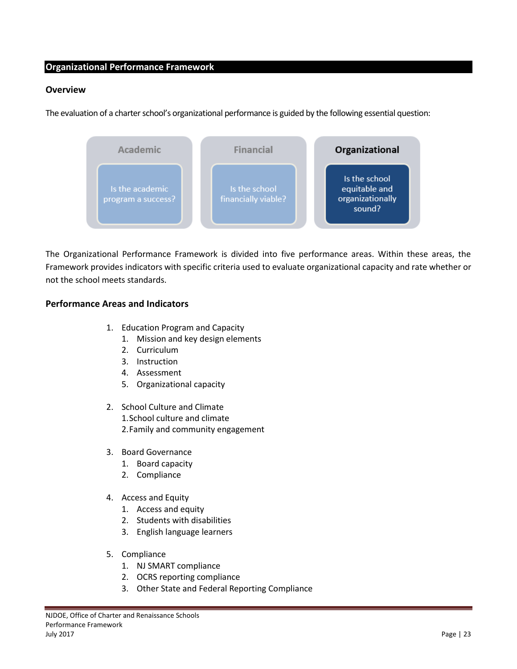#### <span id="page-22-0"></span>**Organizational Performance Framework**

#### <span id="page-22-1"></span>**Overview**

The evaluation of a charter school's organizational performance is guided by the following essential question:



The Organizational Performance Framework is divided into five performance areas. Within these areas, the Framework provides indicators with specific criteria used to evaluate organizational capacity and rate whether or not the school meets standards.

#### <span id="page-22-2"></span>**Performance Areas and Indicators**

- 1. Education Program and Capacity
	- 1. Mission and key design elements
	- 2. Curriculum
	- 3. Instruction
	- 4. Assessment
	- 5. Organizational capacity
- 2. School Culture and Climate 1.School culture and climate 2.Family and community engagement
- 3. Board Governance
	- 1. Board capacity
	- 2. Compliance
- 4. Access and Equity
	- 1. Access and equity
	- 2. Students with disabilities
	- 3. English language learners
- 5. Compliance
	- 1. NJ SMART compliance
	- 2. OCRS reporting compliance
	- 3. Other State and Federal Reporting Compliance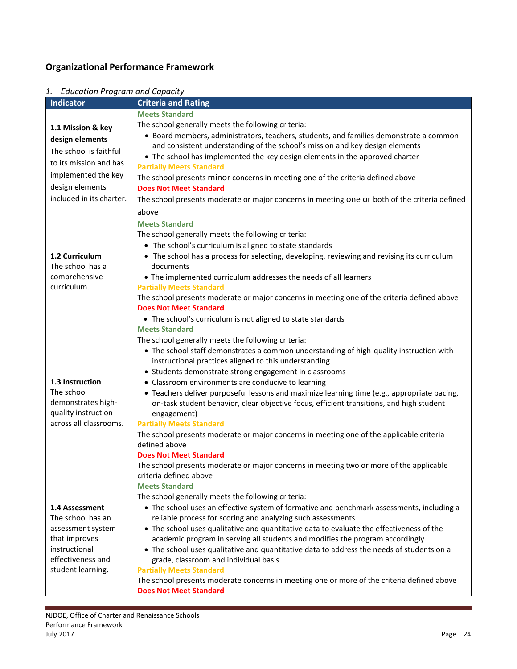## **Organizational Performance Framework**

| Indicator                | <b>Criteria and Rating</b>                                                                                        |
|--------------------------|-------------------------------------------------------------------------------------------------------------------|
|                          | <b>Meets Standard</b>                                                                                             |
| 1.1 Mission & key        | The school generally meets the following criteria:                                                                |
|                          | • Board members, administrators, teachers, students, and families demonstrate a common                            |
| design elements          | and consistent understanding of the school's mission and key design elements                                      |
| The school is faithful   | • The school has implemented the key design elements in the approved charter                                      |
| to its mission and has   | <b>Partially Meets Standard</b>                                                                                   |
| implemented the key      | The school presents minor concerns in meeting one of the criteria defined above                                   |
| design elements          | <b>Does Not Meet Standard</b>                                                                                     |
| included in its charter. | The school presents moderate or major concerns in meeting one or both of the criteria defined                     |
|                          | above                                                                                                             |
|                          | <b>Meets Standard</b>                                                                                             |
|                          | The school generally meets the following criteria:                                                                |
|                          | • The school's curriculum is aligned to state standards                                                           |
| 1.2 Curriculum           | • The school has a process for selecting, developing, reviewing and revising its curriculum                       |
| The school has a         | documents                                                                                                         |
| comprehensive            | • The implemented curriculum addresses the needs of all learners                                                  |
| curriculum.              | <b>Partially Meets Standard</b>                                                                                   |
|                          | The school presents moderate or major concerns in meeting one of the criteria defined above                       |
|                          | <b>Does Not Meet Standard</b>                                                                                     |
|                          | • The school's curriculum is not aligned to state standards                                                       |
|                          | <b>Meets Standard</b>                                                                                             |
|                          | The school generally meets the following criteria:                                                                |
|                          | • The school staff demonstrates a common understanding of high-quality instruction with                           |
|                          | instructional practices aligned to this understanding                                                             |
|                          | • Students demonstrate strong engagement in classrooms                                                            |
| 1.3 Instruction          | • Classroom environments are conducive to learning                                                                |
| The school               | • Teachers deliver purposeful lessons and maximize learning time (e.g., appropriate pacing,                       |
| demonstrates high-       | on-task student behavior, clear objective focus, efficient transitions, and high student                          |
| quality instruction      | engagement)                                                                                                       |
| across all classrooms.   | <b>Partially Meets Standard</b>                                                                                   |
|                          | The school presents moderate or major concerns in meeting one of the applicable criteria                          |
|                          | defined above                                                                                                     |
|                          | <b>Does Not Meet Standard</b>                                                                                     |
|                          | The school presents moderate or major concerns in meeting two or more of the applicable<br>criteria defined above |
|                          | <b>Meets Standard</b>                                                                                             |
|                          | The school generally meets the following criteria:                                                                |
| 1.4 Assessment           | • The school uses an effective system of formative and benchmark assessments, including a                         |
| The school has an        | reliable process for scoring and analyzing such assessments                                                       |
| assessment system        | • The school uses qualitative and quantitative data to evaluate the effectiveness of the                          |
| that improves            | academic program in serving all students and modifies the program accordingly                                     |
| instructional            | • The school uses qualitative and quantitative data to address the needs of students on a                         |
| effectiveness and        | grade, classroom and individual basis                                                                             |
| student learning.        | <b>Partially Meets Standard</b>                                                                                   |
|                          | The school presents moderate concerns in meeting one or more of the criteria defined above                        |
|                          | <b>Does Not Meet Standard</b>                                                                                     |

### *1. Education Program and Capacity*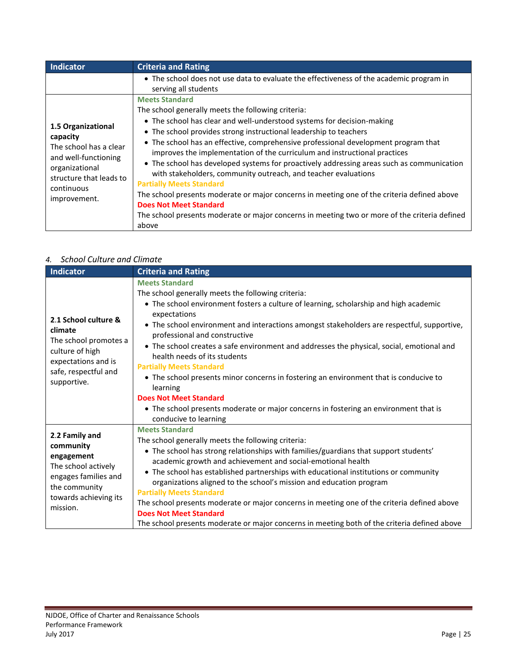| Indicator                                                                                                                                                   | <b>Criteria and Rating</b>                                                                                                                                                                                                                                                                                                                                                                                                                                                                                                                                                                                                                                                                                                                                                                                                                |
|-------------------------------------------------------------------------------------------------------------------------------------------------------------|-------------------------------------------------------------------------------------------------------------------------------------------------------------------------------------------------------------------------------------------------------------------------------------------------------------------------------------------------------------------------------------------------------------------------------------------------------------------------------------------------------------------------------------------------------------------------------------------------------------------------------------------------------------------------------------------------------------------------------------------------------------------------------------------------------------------------------------------|
|                                                                                                                                                             | • The school does not use data to evaluate the effectiveness of the academic program in<br>serving all students                                                                                                                                                                                                                                                                                                                                                                                                                                                                                                                                                                                                                                                                                                                           |
| 1.5 Organizational<br>capacity<br>The school has a clear<br>and well-functioning<br>organizational<br>structure that leads to<br>continuous<br>improvement. | <b>Meets Standard</b><br>The school generally meets the following criteria:<br>• The school has clear and well-understood systems for decision-making<br>• The school provides strong instructional leadership to teachers<br>• The school has an effective, comprehensive professional development program that<br>improves the implementation of the curriculum and instructional practices<br>• The school has developed systems for proactively addressing areas such as communication<br>with stakeholders, community outreach, and teacher evaluations<br><b>Partially Meets Standard</b><br>The school presents moderate or major concerns in meeting one of the criteria defined above<br><b>Does Not Meet Standard</b><br>The school presents moderate or major concerns in meeting two or more of the criteria defined<br>above |

## *4. School Culture and Climate*

| <b>Indicator</b>                                                                                                                               | <b>Criteria and Rating</b>                                                                                                                                                                                                                                                                                                                                                                                                                                                                                                                                                                                                                                                                                                                 |
|------------------------------------------------------------------------------------------------------------------------------------------------|--------------------------------------------------------------------------------------------------------------------------------------------------------------------------------------------------------------------------------------------------------------------------------------------------------------------------------------------------------------------------------------------------------------------------------------------------------------------------------------------------------------------------------------------------------------------------------------------------------------------------------------------------------------------------------------------------------------------------------------------|
| 2.1 School culture &<br>climate<br>The school promotes a<br>culture of high<br>expectations and is<br>safe, respectful and<br>supportive.      | <b>Meets Standard</b><br>The school generally meets the following criteria:<br>• The school environment fosters a culture of learning, scholarship and high academic<br>expectations<br>• The school environment and interactions amongst stakeholders are respectful, supportive,<br>professional and constructive<br>• The school creates a safe environment and addresses the physical, social, emotional and<br>health needs of its students<br><b>Partially Meets Standard</b><br>• The school presents minor concerns in fostering an environment that is conducive to<br>learning<br><b>Does Not Meet Standard</b><br>• The school presents moderate or major concerns in fostering an environment that is<br>conducive to learning |
| 2.2 Family and<br>community<br>engagement<br>The school actively<br>engages families and<br>the community<br>towards achieving its<br>mission. | <b>Meets Standard</b><br>The school generally meets the following criteria:<br>• The school has strong relationships with families/guardians that support students'<br>academic growth and achievement and social-emotional health<br>• The school has established partnerships with educational institutions or community<br>organizations aligned to the school's mission and education program<br><b>Partially Meets Standard</b><br>The school presents moderate or major concerns in meeting one of the criteria defined above<br><b>Does Not Meet Standard</b><br>The school presents moderate or major concerns in meeting both of the criteria defined above                                                                       |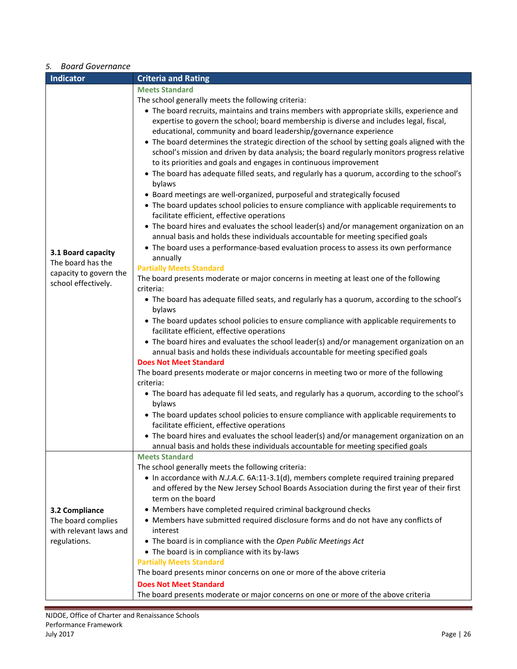## *5. Board Governance*

| <b>DUULU OUVELHUILE</b><br>Indicator | <b>Criteria and Rating</b>                                                                                        |
|--------------------------------------|-------------------------------------------------------------------------------------------------------------------|
|                                      | <b>Meets Standard</b>                                                                                             |
|                                      | The school generally meets the following criteria:                                                                |
|                                      | • The board recruits, maintains and trains members with appropriate skills, experience and                        |
|                                      | expertise to govern the school; board membership is diverse and includes legal, fiscal,                           |
|                                      | educational, community and board leadership/governance experience                                                 |
|                                      | • The board determines the strategic direction of the school by setting goals aligned with the                    |
|                                      | school's mission and driven by data analysis; the board regularly monitors progress relative                      |
|                                      | to its priorities and goals and engages in continuous improvement                                                 |
|                                      | • The board has adequate filled seats, and regularly has a quorum, according to the school's<br>bylaws            |
|                                      | • Board meetings are well-organized, purposeful and strategically focused                                         |
|                                      | • The board updates school policies to ensure compliance with applicable requirements to                          |
|                                      | facilitate efficient, effective operations                                                                        |
|                                      | • The board hires and evaluates the school leader(s) and/or management organization on an                         |
|                                      | annual basis and holds these individuals accountable for meeting specified goals                                  |
| 3.1 Board capacity                   | • The board uses a performance-based evaluation process to assess its own performance                             |
| The board has the                    | annually                                                                                                          |
| capacity to govern the               | <b>Partially Meets Standard</b>                                                                                   |
| school effectively.                  | The board presents moderate or major concerns in meeting at least one of the following                            |
|                                      | criteria:                                                                                                         |
|                                      | • The board has adequate filled seats, and regularly has a quorum, according to the school's                      |
|                                      | bylaws                                                                                                            |
|                                      | • The board updates school policies to ensure compliance with applicable requirements to                          |
|                                      | facilitate efficient, effective operations                                                                        |
|                                      | • The board hires and evaluates the school leader(s) and/or management organization on an                         |
|                                      | annual basis and holds these individuals accountable for meeting specified goals<br><b>Does Not Meet Standard</b> |
|                                      | The board presents moderate or major concerns in meeting two or more of the following                             |
|                                      | criteria:                                                                                                         |
|                                      | • The board has adequate fil led seats, and regularly has a quorum, according to the school's                     |
|                                      | bylaws                                                                                                            |
|                                      | • The board updates school policies to ensure compliance with applicable requirements to                          |
|                                      | facilitate efficient, effective operations                                                                        |
|                                      | • The board hires and evaluates the school leader(s) and/or management organization on an                         |
|                                      | annual basis and holds these individuals accountable for meeting specified goals                                  |
|                                      | <b>Meets Standard</b>                                                                                             |
|                                      | The school generally meets the following criteria:                                                                |
|                                      | • In accordance with N.J.A.C. 6A:11-3.1(d), members complete required training prepared                           |
|                                      | and offered by the New Jersey School Boards Association during the first year of their first                      |
|                                      | term on the board                                                                                                 |
| 3.2 Compliance                       | • Members have completed required criminal background checks                                                      |
| The board complies                   | • Members have submitted required disclosure forms and do not have any conflicts of                               |
| with relevant laws and               | interest                                                                                                          |
| regulations.                         | • The board is in compliance with the Open Public Meetings Act                                                    |
|                                      | • The board is in compliance with its by-laws                                                                     |
|                                      | <b>Partially Meets Standard</b>                                                                                   |
|                                      | The board presents minor concerns on one or more of the above criteria                                            |
|                                      | <b>Does Not Meet Standard</b>                                                                                     |
|                                      | The board presents moderate or major concerns on one or more of the above criteria                                |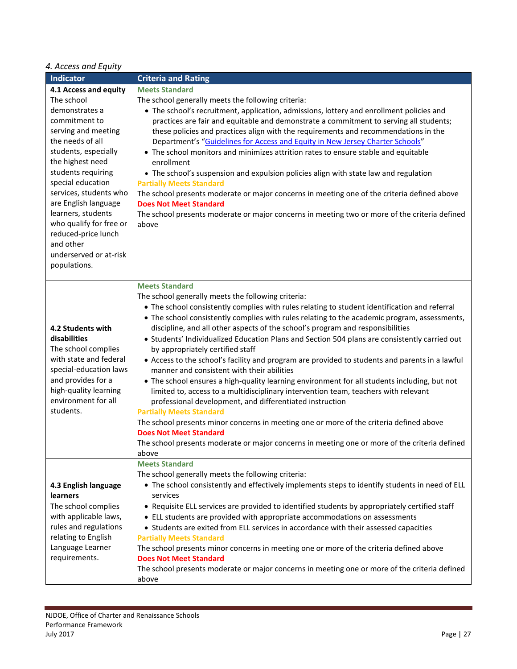## *4. Access and Equity*

| Indicator                                      | <b>Criteria and Rating</b>                                                                                                        |
|------------------------------------------------|-----------------------------------------------------------------------------------------------------------------------------------|
| 4.1 Access and equity                          | <b>Meets Standard</b>                                                                                                             |
| The school                                     | The school generally meets the following criteria:                                                                                |
| demonstrates a                                 | • The school's recruitment, application, admissions, lottery and enrollment policies and                                          |
| commitment to                                  | practices are fair and equitable and demonstrate a commitment to serving all students;                                            |
| serving and meeting                            | these policies and practices align with the requirements and recommendations in the                                               |
| the needs of all                               | Department's "Guidelines for Access and Equity in New Jersey Charter Schools"                                                     |
| students, especially                           | • The school monitors and minimizes attrition rates to ensure stable and equitable                                                |
| the highest need                               | enrollment                                                                                                                        |
| students requiring                             | • The school's suspension and expulsion policies align with state law and regulation                                              |
| special education                              | <b>Partially Meets Standard</b>                                                                                                   |
| services, students who<br>are English language | The school presents moderate or major concerns in meeting one of the criteria defined above                                       |
| learners, students                             | <b>Does Not Meet Standard</b>                                                                                                     |
| who qualify for free or                        | The school presents moderate or major concerns in meeting two or more of the criteria defined<br>above                            |
| reduced-price lunch                            |                                                                                                                                   |
| and other                                      |                                                                                                                                   |
| underserved or at-risk                         |                                                                                                                                   |
| populations.                                   |                                                                                                                                   |
|                                                |                                                                                                                                   |
|                                                | <b>Meets Standard</b>                                                                                                             |
|                                                | The school generally meets the following criteria:                                                                                |
|                                                | • The school consistently complies with rules relating to student identification and referral                                     |
| 4.2 Students with                              | • The school consistently complies with rules relating to the academic program, assessments,                                      |
| disabilities                                   | discipline, and all other aspects of the school's program and responsibilities                                                    |
| The school complies                            | . Students' Individualized Education Plans and Section 504 plans are consistently carried out<br>by appropriately certified staff |
| with state and federal                         | • Access to the school's facility and program are provided to students and parents in a lawful                                    |
| special-education laws                         | manner and consistent with their abilities                                                                                        |
| and provides for a                             | • The school ensures a high-quality learning environment for all students including, but not                                      |
| high-quality learning                          | limited to, access to a multidisciplinary intervention team, teachers with relevant                                               |
| environment for all                            | professional development, and differentiated instruction                                                                          |
| students.                                      | <b>Partially Meets Standard</b>                                                                                                   |
|                                                | The school presents minor concerns in meeting one or more of the criteria defined above                                           |
|                                                | <b>Does Not Meet Standard</b>                                                                                                     |
|                                                | The school presents moderate or major concerns in meeting one or more of the criteria defined                                     |
|                                                | above<br><b>Meets Standard</b>                                                                                                    |
|                                                | The school generally meets the following criteria:                                                                                |
| 4.3 English language                           | • The school consistently and effectively implements steps to identify students in need of ELL                                    |
| learners                                       | services                                                                                                                          |
| The school complies                            | • Requisite ELL services are provided to identified students by appropriately certified staff                                     |
| with applicable laws,                          | • ELL students are provided with appropriate accommodations on assessments                                                        |
| rules and regulations                          | • Students are exited from ELL services in accordance with their assessed capacities                                              |
| relating to English                            | <b>Partially Meets Standard</b>                                                                                                   |
| Language Learner                               | The school presents minor concerns in meeting one or more of the criteria defined above                                           |
| requirements.                                  | <b>Does Not Meet Standard</b>                                                                                                     |
|                                                | The school presents moderate or major concerns in meeting one or more of the criteria defined                                     |
|                                                | above                                                                                                                             |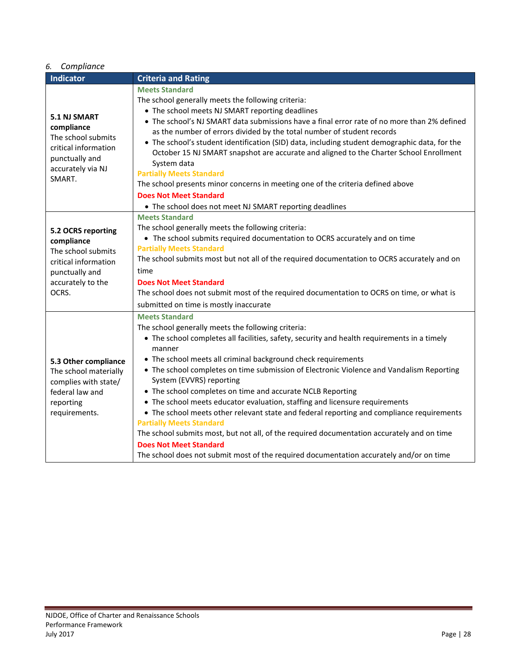| 6.                                                                                                                               | Compliance                                                                                                                                                                                                                                                                                                                                                                                                                                                                                                                                                                                                                                                                                                                                                                                                                                                                           |  |  |
|----------------------------------------------------------------------------------------------------------------------------------|--------------------------------------------------------------------------------------------------------------------------------------------------------------------------------------------------------------------------------------------------------------------------------------------------------------------------------------------------------------------------------------------------------------------------------------------------------------------------------------------------------------------------------------------------------------------------------------------------------------------------------------------------------------------------------------------------------------------------------------------------------------------------------------------------------------------------------------------------------------------------------------|--|--|
| <b>Indicator</b>                                                                                                                 | <b>Criteria and Rating</b>                                                                                                                                                                                                                                                                                                                                                                                                                                                                                                                                                                                                                                                                                                                                                                                                                                                           |  |  |
| <b>5.1 NJ SMART</b><br>compliance<br>The school submits<br>critical information<br>punctually and<br>accurately via NJ<br>SMART. | <b>Meets Standard</b><br>The school generally meets the following criteria:<br>• The school meets NJ SMART reporting deadlines<br>• The school's NJ SMART data submissions have a final error rate of no more than 2% defined<br>as the number of errors divided by the total number of student records<br>• The school's student identification (SID) data, including student demographic data, for the<br>October 15 NJ SMART snapshot are accurate and aligned to the Charter School Enrollment<br>System data<br><b>Partially Meets Standard</b><br>The school presents minor concerns in meeting one of the criteria defined above<br><b>Does Not Meet Standard</b><br>• The school does not meet NJ SMART reporting deadlines                                                                                                                                                  |  |  |
| 5.2 OCRS reporting<br>compliance<br>The school submits<br>critical information<br>punctually and<br>accurately to the<br>OCRS.   | <b>Meets Standard</b><br>The school generally meets the following criteria:<br>• The school submits required documentation to OCRS accurately and on time<br><b>Partially Meets Standard</b><br>The school submits most but not all of the required documentation to OCRS accurately and on<br>time<br><b>Does Not Meet Standard</b><br>The school does not submit most of the required documentation to OCRS on time, or what is<br>submitted on time is mostly inaccurate                                                                                                                                                                                                                                                                                                                                                                                                          |  |  |
| 5.3 Other compliance<br>The school materially<br>complies with state/<br>federal law and<br>reporting<br>requirements.           | <b>Meets Standard</b><br>The school generally meets the following criteria:<br>• The school completes all facilities, safety, security and health requirements in a timely<br>manner<br>• The school meets all criminal background check requirements<br>• The school completes on time submission of Electronic Violence and Vandalism Reporting<br>System (EVVRS) reporting<br>• The school completes on time and accurate NCLB Reporting<br>• The school meets educator evaluation, staffing and licensure requirements<br>• The school meets other relevant state and federal reporting and compliance requirements<br><b>Partially Meets Standard</b><br>The school submits most, but not all, of the required documentation accurately and on time<br><b>Does Not Meet Standard</b><br>The school does not submit most of the required documentation accurately and/or on time |  |  |